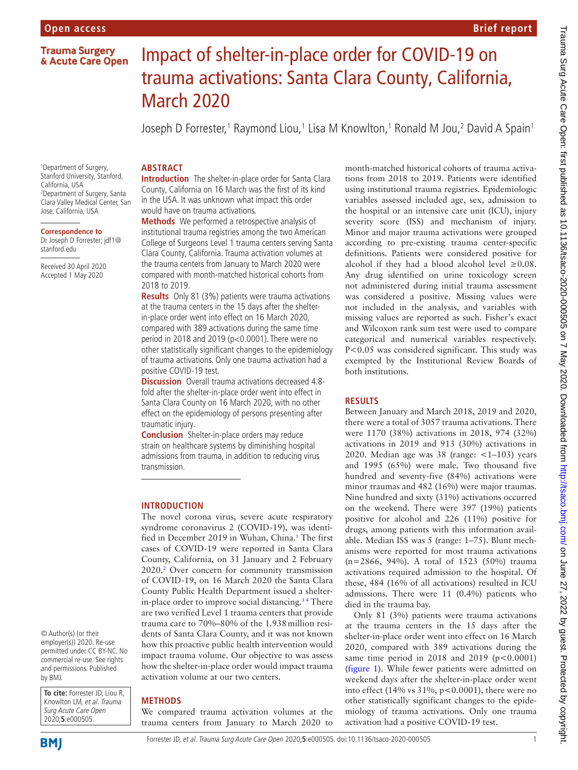## **Trauma Surgery** & Acute Care Open

# Impact of shelter-in-place order for COVID-19 on trauma activations: Santa Clara County, California, March 2020

Joseph D Forrester,<sup>1</sup> Raymond Liou,<sup>1</sup> Lisa M Knowlton,<sup>1</sup> Ronald M Jou,<sup>2</sup> David A Spain<sup>1</sup>

## **ARSTRACT**

1 Department of Surgery, Stanford University, Stanford, California, USA 2 Department of Surgery, Santa Clara Valley Medical Center, San Jose, California, USA

#### **Correspondence to**

Dr Joseph D Forrester; jdf1@ stanford.edu

Received 30 April 2020 Accepted 1 May 2020

**Introduction** The shelter-in-place order for Santa Clara County, California on 16 March was the first of its kind in the USA. It was unknown what impact this order would have on trauma activations.

**Methods** We performed a retrospective analysis of institutional trauma registries among the two American College of Surgeons Level 1 trauma centers serving Santa Clara County, California. Trauma activation volumes at the trauma centers from January to March 2020 were compared with month-matched historical cohorts from 2018 to 2019.

**Results** Only 81 (3%) patients were trauma activations at the trauma centers in the 15 days after the shelterin-place order went into effect on 16 March 2020, compared with 389 activations during the same time period in 2018 and 2019 (p<0.0001). There were no other statistically significant changes to the epidemiology of trauma activations. Only one trauma activation had a positive COVID-19 test.

**Discussion** Overall trauma activations decreased 4.8fold after the shelter-in-place order went into effect in Santa Clara County on 16 March 2020, with no other effect on the epidemiology of persons presenting after traumatic injury.

**Conclusion** Shelter-in-place orders may reduce strain on healthcare systems by diminishing hospital admissions from trauma, in addition to reducing virus transmission.

#### **Introduction**

The novel corona virus, severe acute respiratory syndrome coronavirus 2 (COVID-19), was identified in December 2019 in Wuhan, China.<sup>1</sup> The first cases of COVID-19 were reported in Santa Clara County, California, on 31 January and 2 February 2020[.2](#page-1-0) Over concern for community transmission of COVID-19, on 16 March 2020 the Santa Clara County Public Health Department issued a shelterin-place order to improve social distancing.<sup>34</sup> There are two verified Level 1 trauma centers that provide trauma care to 70%–80% of the 1.938million residents of Santa Clara County, and it was not known how this proactive public health intervention would impact trauma volume. Our objective to was assess how the shelter-in-place order would impact trauma activation volume at our two centers.

**To cite:** Forrester JD, Liou R, commercial re-use. See rights and permissions. Published by BMJ.

Knowlton LM, et al. Trauma Surg Acute Care Open 2020;**5**:e000505.

© Author(s) (or their employer(s)) 2020. Re-use permitted under CC BY-NC. No

# **Methods**

We compared trauma activation volumes at the trauma centers from January to March 2020 to

month-matched historical cohorts of trauma activations from 2018 to 2019. Patients were identified using institutional trauma registries. Epidemiologic variables assessed included age, sex, admission to the hospital or an intensive care unit (ICU), injury severity score (ISS) and mechanism of injury. Minor and major trauma activations were grouped according to pre-existing trauma center-specific definitions. Patients were considered positive for alcohol if they had a blood alcohol level  $\geq 0.08$ . Any drug identified on urine toxicology screen not administered during initial trauma assessment was considered a positive. Missing values were not included in the analysis, and variables with missing values are reported as such. Fisher's exact and Wilcoxon rank sum test were used to compare categorical and numerical variables respectively. P<0.05 was considered significant. This study was exempted by the Institutional Review Boards of both institutions.

**Brief report**

### **Results**

Between January and March 2018, 2019 and 2020, there were a total of 3057 trauma activations. There were 1170 (38%) activations in 2018, 974 (32%) activations in 2019 and 913 (30%) activations in 2020. Median age was  $38$  (range:  $\lt 1-103$ ) years and 1995 (65%) were male. Two thousand five hundred and seventy-five (84%) activations were minor traumas and 482 (16%) were major traumas. Nine hundred and sixty (31%) activations occurred on the weekend. There were 397 (19%) patients positive for alcohol and 226 (11%) positive for drugs, among patients with this information available. Median ISS was 5 (range: 1–75). Blunt mechanisms were reported for most trauma activations (n=2866, 94%). A total of 1523 (50%) trauma activations required admission to the hospital. Of these, 484 (16% of all activations) resulted in ICU admissions. There were 11 (0.4%) patients who died in the trauma bay.

Only 81 (3%) patients were trauma activations at the trauma centers in the 15 days after the shelter-in-place order went into effect on 16 March 2020, compared with 389 activations during the same time period in 2018 and 2019 ( $p < 0.0001$ ) ([figure](#page-1-2) 1). While fewer patients were admitted on weekend days after the shelter-in-place order went into effect (14% vs  $31\%$ , p<0.0001), there were no other statistically significant changes to the epidemiology of trauma activations. Only one trauma activation had a positive COVID-19 test.